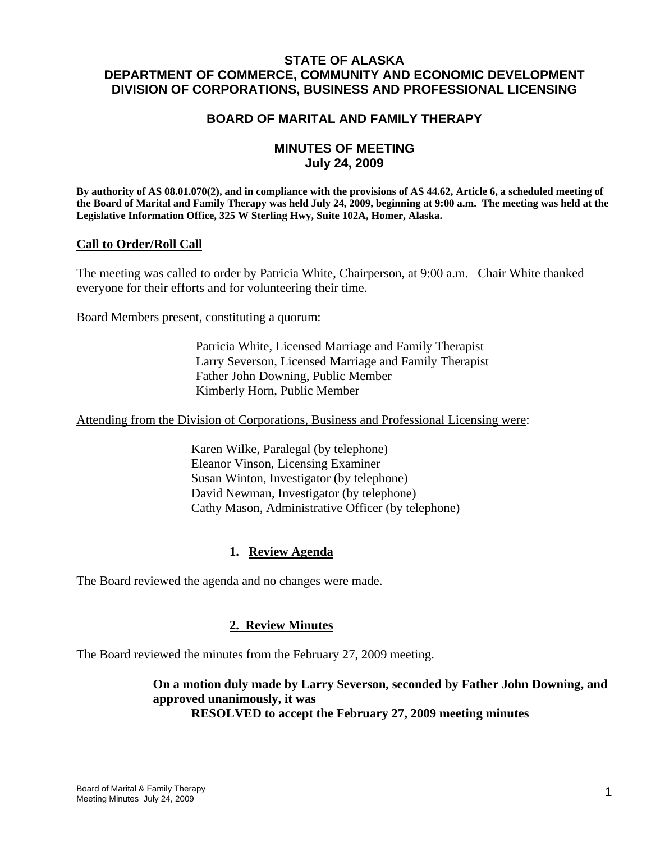# **STATE OF ALASKA DEPARTMENT OF COMMERCE, COMMUNITY AND ECONOMIC DEVELOPMENT DIVISION OF CORPORATIONS, BUSINESS AND PROFESSIONAL LICENSING**

# **BOARD OF MARITAL AND FAMILY THERAPY**

# **MINUTES OF MEETING July 24, 2009**

**By authority of AS 08.01.070(2), and in compliance with the provisions of AS 44.62, Article 6, a scheduled meeting of the Board of Marital and Family Therapy was held July 24, 2009, beginning at 9:00 a.m. The meeting was held at the Legislative Information Office, 325 W Sterling Hwy, Suite 102A, Homer, Alaska.** 

### **Call to Order/Roll Call**

The meeting was called to order by Patricia White, Chairperson, at 9:00 a.m. Chair White thanked everyone for their efforts and for volunteering their time.

Board Members present, constituting a quorum:

 Patricia White, Licensed Marriage and Family Therapist Larry Severson, Licensed Marriage and Family Therapist Father John Downing, Public Member Kimberly Horn, Public Member

Attending from the Division of Corporations, Business and Professional Licensing were:

 Karen Wilke, Paralegal (by telephone) Eleanor Vinson, Licensing Examiner Susan Winton, Investigator (by telephone) David Newman, Investigator (by telephone) Cathy Mason, Administrative Officer (by telephone)

### **1. Review Agenda**

The Board reviewed the agenda and no changes were made.

### **2. Review Minutes**

The Board reviewed the minutes from the February 27, 2009 meeting.

**On a motion duly made by Larry Severson, seconded by Father John Downing, and approved unanimously, it was RESOLVED to accept the February 27, 2009 meeting minutes**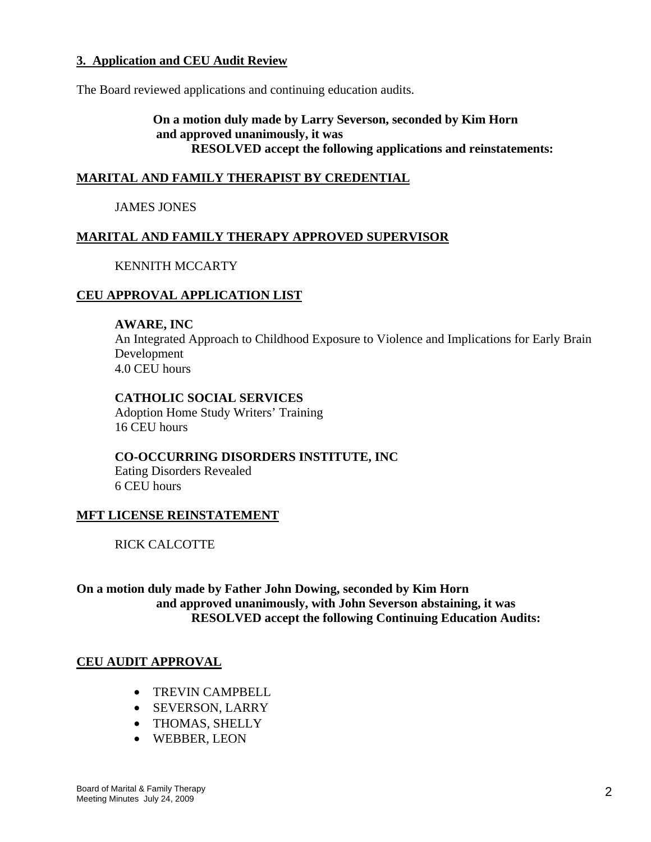## **3. Application and CEU Audit Review**

The Board reviewed applications and continuing education audits.

**On a motion duly made by Larry Severson, seconded by Kim Horn and approved unanimously, it was RESOLVED accept the following applications and reinstatements:**

## **MARITAL AND FAMILY THERAPIST BY CREDENTIAL**

### JAMES JONES

## **MARITAL AND FAMILY THERAPY APPROVED SUPERVISOR**

### KENNITH MCCARTY

### **CEU APPROVAL APPLICATION LIST**

### **AWARE, INC**

An Integrated Approach to Childhood Exposure to Violence and Implications for Early Brain Development 4.0 CEU hours

### **CATHOLIC SOCIAL SERVICES**

Adoption Home Study Writers' Training 16 CEU hours

**CO-OCCURRING DISORDERS INSTITUTE, INC** 

Eating Disorders Revealed 6 CEU hours

### **MFT LICENSE REINSTATEMENT**

RICK CALCOTTE

**On a motion duly made by Father John Dowing, seconded by Kim Horn and approved unanimously, with John Severson abstaining, it was RESOLVED accept the following Continuing Education Audits:**

### **CEU AUDIT APPROVAL**

- TREVIN CAMPBELL
- SEVERSON, LARRY
- THOMAS, SHELLY
- WEBBER, LEON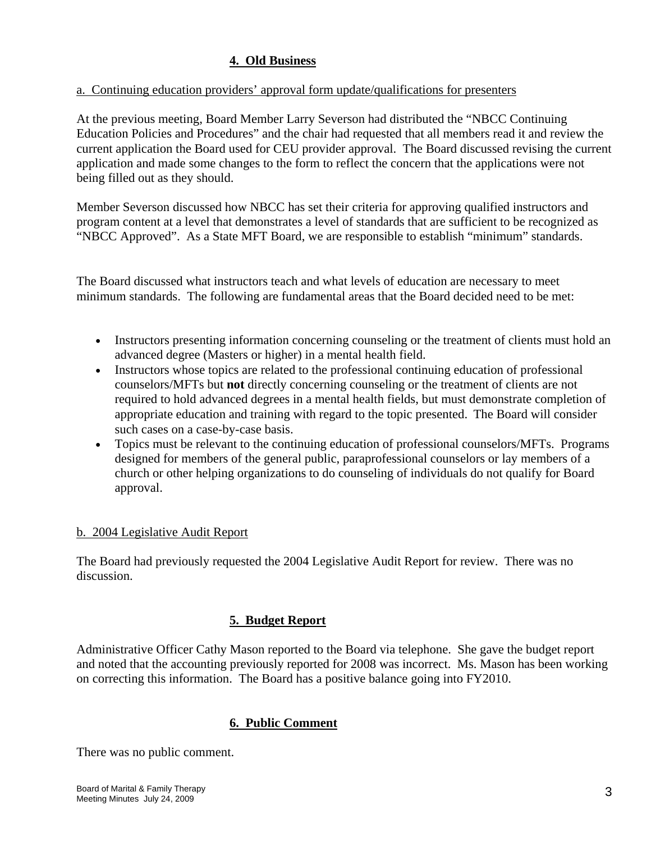# **4. Old Business**

# a. Continuing education providers' approval form update/qualifications for presenters

At the previous meeting, Board Member Larry Severson had distributed the "NBCC Continuing Education Policies and Procedures" and the chair had requested that all members read it and review the current application the Board used for CEU provider approval. The Board discussed revising the current application and made some changes to the form to reflect the concern that the applications were not being filled out as they should.

Member Severson discussed how NBCC has set their criteria for approving qualified instructors and program content at a level that demonstrates a level of standards that are sufficient to be recognized as "NBCC Approved". As a State MFT Board, we are responsible to establish "minimum" standards.

The Board discussed what instructors teach and what levels of education are necessary to meet minimum standards. The following are fundamental areas that the Board decided need to be met:

- Instructors presenting information concerning counseling or the treatment of clients must hold an advanced degree (Masters or higher) in a mental health field.
- Instructors whose topics are related to the professional continuing education of professional counselors/MFTs but **not** directly concerning counseling or the treatment of clients are not required to hold advanced degrees in a mental health fields, but must demonstrate completion of appropriate education and training with regard to the topic presented. The Board will consider such cases on a case-by-case basis.
- Topics must be relevant to the continuing education of professional counselors/MFTs. Programs designed for members of the general public, paraprofessional counselors or lay members of a church or other helping organizations to do counseling of individuals do not qualify for Board approval.

# b. 2004 Legislative Audit Report

The Board had previously requested the 2004 Legislative Audit Report for review. There was no discussion.

# **5. Budget Report**

Administrative Officer Cathy Mason reported to the Board via telephone. She gave the budget report and noted that the accounting previously reported for 2008 was incorrect. Ms. Mason has been working on correcting this information. The Board has a positive balance going into FY2010.

# **6. Public Comment**

There was no public comment.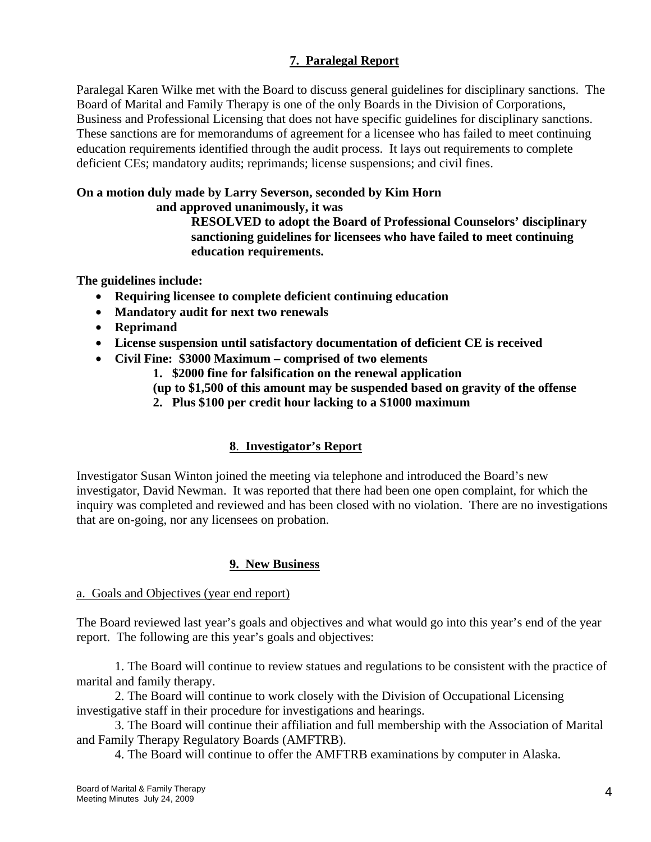# **7. Paralegal Report**

Paralegal Karen Wilke met with the Board to discuss general guidelines for disciplinary sanctions. The Board of Marital and Family Therapy is one of the only Boards in the Division of Corporations, Business and Professional Licensing that does not have specific guidelines for disciplinary sanctions. These sanctions are for memorandums of agreement for a licensee who has failed to meet continuing education requirements identified through the audit process. It lays out requirements to complete deficient CEs; mandatory audits; reprimands; license suspensions; and civil fines.

# **On a motion duly made by Larry Severson, seconded by Kim Horn**

 **and approved unanimously, it was** 

**RESOLVED to adopt the Board of Professional Counselors' disciplinary sanctioning guidelines for licensees who have failed to meet continuing education requirements.** 

**The guidelines include:** 

- **Requiring licensee to complete deficient continuing education**
- **Mandatory audit for next two renewals**
- **Reprimand**
- **License suspension until satisfactory documentation of deficient CE is received**
- **Civil Fine: \$3000 Maximum comprised of two elements** 
	- **1. \$2000 fine for falsification on the renewal application**

**(up to \$1,500 of this amount may be suspended based on gravity of the offense** 

**2. Plus \$100 per credit hour lacking to a \$1000 maximum** 

# **8**. **Investigator's Report**

Investigator Susan Winton joined the meeting via telephone and introduced the Board's new investigator, David Newman. It was reported that there had been one open complaint, for which the inquiry was completed and reviewed and has been closed with no violation. There are no investigations that are on-going, nor any licensees on probation.

# **9. New Business**

# a. Goals and Objectives (year end report)

The Board reviewed last year's goals and objectives and what would go into this year's end of the year report. The following are this year's goals and objectives:

1. The Board will continue to review statues and regulations to be consistent with the practice of marital and family therapy.

2. The Board will continue to work closely with the Division of Occupational Licensing investigative staff in their procedure for investigations and hearings.

3. The Board will continue their affiliation and full membership with the Association of Marital and Family Therapy Regulatory Boards (AMFTRB).

4. The Board will continue to offer the AMFTRB examinations by computer in Alaska.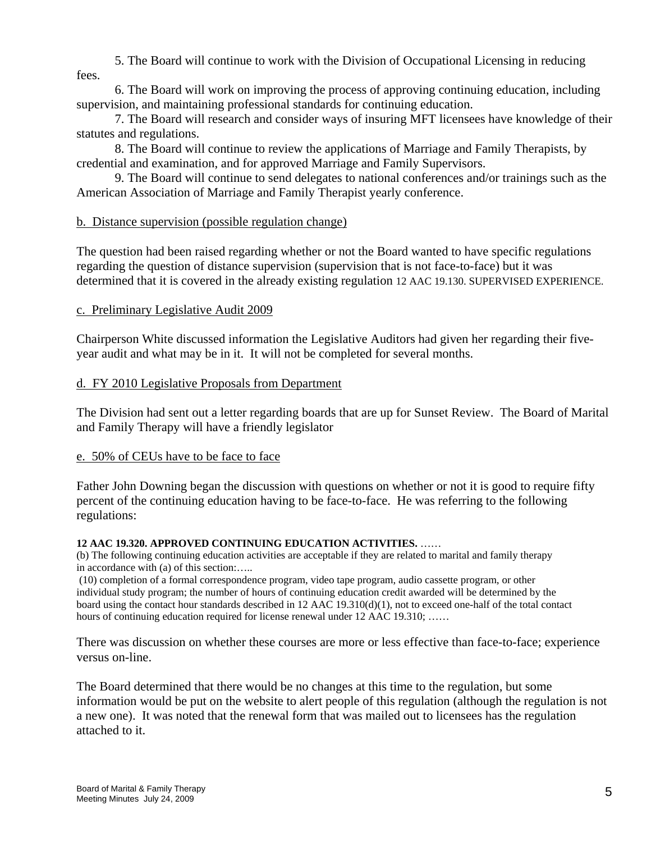5. The Board will continue to work with the Division of Occupational Licensing in reducing

fees.

6. The Board will work on improving the process of approving continuing education, including supervision, and maintaining professional standards for continuing education.

7. The Board will research and consider ways of insuring MFT licensees have knowledge of their statutes and regulations.

8. The Board will continue to review the applications of Marriage and Family Therapists, by credential and examination, and for approved Marriage and Family Supervisors.

 9. The Board will continue to send delegates to national conferences and/or trainings such as the American Association of Marriage and Family Therapist yearly conference.

# b. Distance supervision (possible regulation change)

The question had been raised regarding whether or not the Board wanted to have specific regulations regarding the question of distance supervision (supervision that is not face-to-face) but it was determined that it is covered in the already existing regulation 12 AAC 19.130. SUPERVISED EXPERIENCE.

# c. Preliminary Legislative Audit 2009

Chairperson White discussed information the Legislative Auditors had given her regarding their fiveyear audit and what may be in it. It will not be completed for several months.

# d. FY 2010 Legislative Proposals from Department

The Division had sent out a letter regarding boards that are up for Sunset Review. The Board of Marital and Family Therapy will have a friendly legislator

# e. 50% of CEUs have to be face to face

Father John Downing began the discussion with questions on whether or not it is good to require fifty percent of the continuing education having to be face-to-face. He was referring to the following regulations:

### **12 AAC 19.320. APPROVED CONTINUING EDUCATION ACTIVITIES.** ……

(b) The following continuing education activities are acceptable if they are related to marital and family therapy in accordance with (a) of this section:…..

 (10) completion of a formal correspondence program, video tape program, audio cassette program, or other individual study program; the number of hours of continuing education credit awarded will be determined by the board using the contact hour standards described in 12 AAC 19.310(d)(1), not to exceed one-half of the total contact hours of continuing education required for license renewal under 12 AAC 19.310; ……

There was discussion on whether these courses are more or less effective than face-to-face; experience versus on-line.

The Board determined that there would be no changes at this time to the regulation, but some information would be put on the website to alert people of this regulation (although the regulation is not a new one). It was noted that the renewal form that was mailed out to licensees has the regulation attached to it.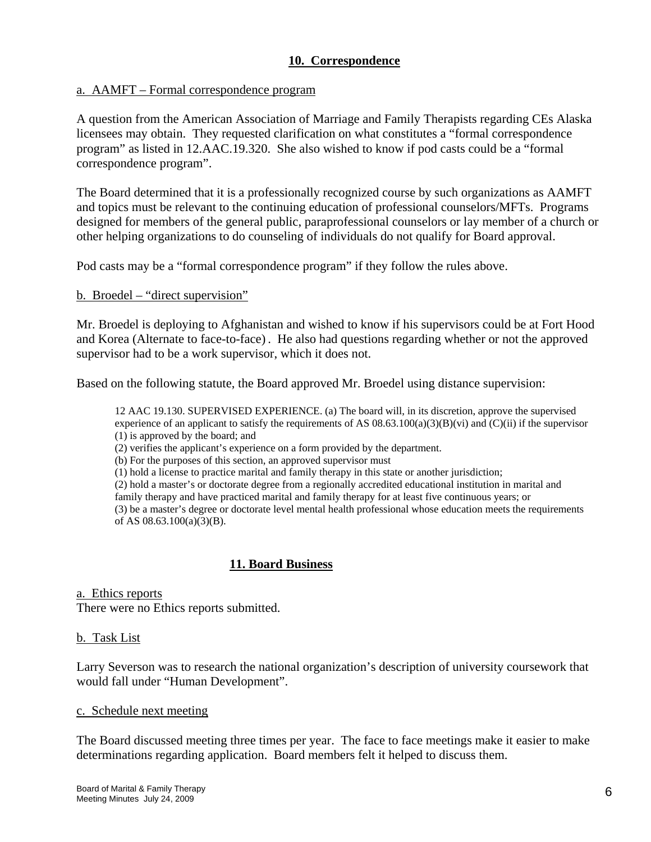# **10. Correspondence**

## a. AAMFT – Formal correspondence program

A question from the American Association of Marriage and Family Therapists regarding CEs Alaska licensees may obtain. They requested clarification on what constitutes a "formal correspondence program" as listed in 12.AAC.19.320. She also wished to know if pod casts could be a "formal correspondence program".

The Board determined that it is a professionally recognized course by such organizations as AAMFT and topics must be relevant to the continuing education of professional counselors/MFTs. Programs designed for members of the general public, paraprofessional counselors or lay member of a church or other helping organizations to do counseling of individuals do not qualify for Board approval.

Pod casts may be a "formal correspondence program" if they follow the rules above.

### b. Broedel – "direct supervision"

Mr. Broedel is deploying to Afghanistan and wished to know if his supervisors could be at Fort Hood and Korea (Alternate to face-to-face) . He also had questions regarding whether or not the approved supervisor had to be a work supervisor, which it does not.

Based on the following statute, the Board approved Mr. Broedel using distance supervision:

12 AAC 19.130. SUPERVISED EXPERIENCE. (a) The board will, in its discretion, approve the supervised experience of an applicant to satisfy the requirements of AS  $08.63.100(a)(3)(B)(vi)$  and  $(C)(ii)$  if the supervisor (1) is approved by the board; and

(2) verifies the applicant's experience on a form provided by the department.

(b) For the purposes of this section, an approved supervisor must

(1) hold a license to practice marital and family therapy in this state or another jurisdiction;

(2) hold a master's or doctorate degree from a regionally accredited educational institution in marital and

family therapy and have practiced marital and family therapy for at least five continuous years; or

(3) be a master's degree or doctorate level mental health professional whose education meets the requirements of AS 08.63.100(a)(3)(B).

# **11. Board Business**

### a. Ethics reports

There were no Ethics reports submitted.

### b. Task List

Larry Severson was to research the national organization's description of university coursework that would fall under "Human Development".

#### c. Schedule next meeting

The Board discussed meeting three times per year. The face to face meetings make it easier to make determinations regarding application. Board members felt it helped to discuss them.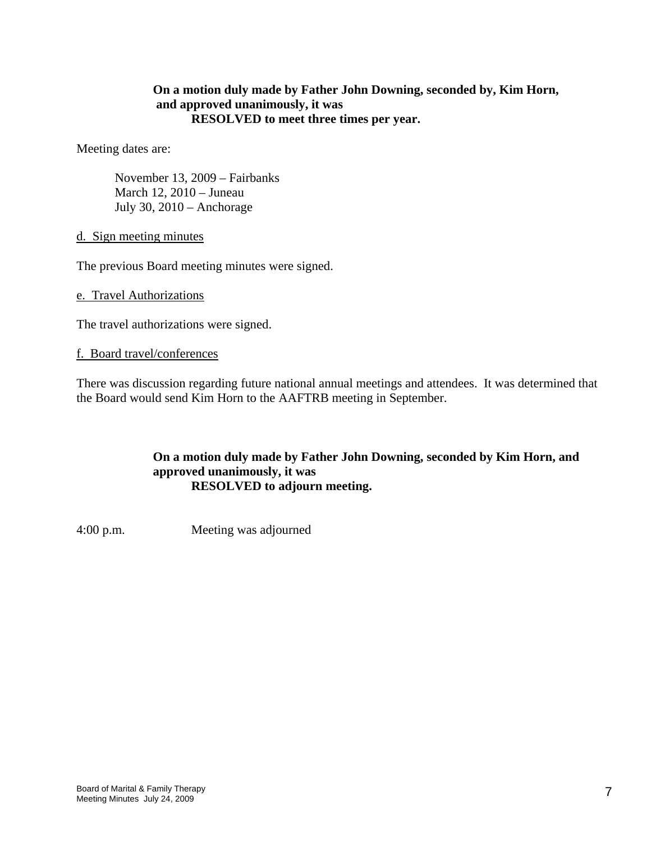# **On a motion duly made by Father John Downing, seconded by, Kim Horn, and approved unanimously, it was RESOLVED to meet three times per year.**

Meeting dates are:

 November 13, 2009 – Fairbanks March 12, 2010 – Juneau July 30, 2010 – Anchorage

d. Sign meeting minutes

The previous Board meeting minutes were signed.

e. Travel Authorizations

The travel authorizations were signed.

#### f. Board travel/conferences

There was discussion regarding future national annual meetings and attendees. It was determined that the Board would send Kim Horn to the AAFTRB meeting in September.

## **On a motion duly made by Father John Downing, seconded by Kim Horn, and approved unanimously, it was RESOLVED to adjourn meeting.**

4:00 p.m. Meeting was adjourned